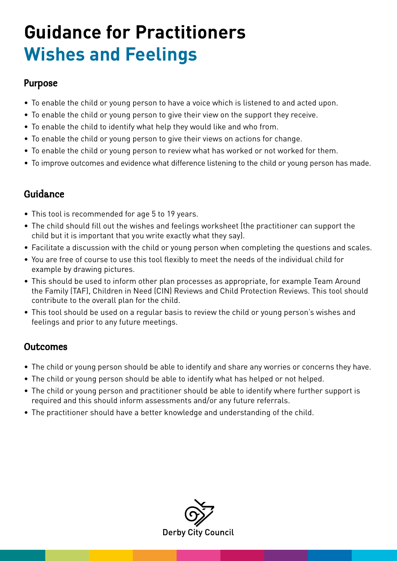### **Guidance for Practitioners Wishes and Feelings**

#### Purpose

- To enable the child or young person to have a voice which is listened to and acted upon.
- To enable the child or young person to give their view on the support they receive.
- To enable the child to identify what help they would like and who from.
- To enable the child or young person to give their views on actions for change.
- To enable the child or young person to review what has worked or not worked for them.
- To improve outcomes and evidence what difference listening to the child or young person has made.

#### Guidance

- This tool is recommended for age 5 to 19 years.
- The child should fill out the wishes and feelings worksheet (the practitioner can support the child but it is important that you write exactly what they say).
- Facilitate a discussion with the child or young person when completing the questions and scales.
- You are free of course to use this tool flexibly to meet the needs of the individual child for example by drawing pictures.
- This should be used to inform other plan processes as appropriate, for example Team Around the Family (TAF), Children in Need (CIN) Reviews and Child Protection Reviews. This tool should contribute to the overall plan for the child.
- This tool should be used on a regular basis to review the child or young person's wishes and feelings and prior to any future meetings.

#### **Outcomes**

- The child or young person should be able to identify and share any worries or concerns they have.
- The child or young person should be able to identify what has helped or not helped.
- The child or young person and practitioner should be able to identify where further support is required and this should inform assessments and/or any future referrals.
- The practitioner should have a better knowledge and understanding of the child.

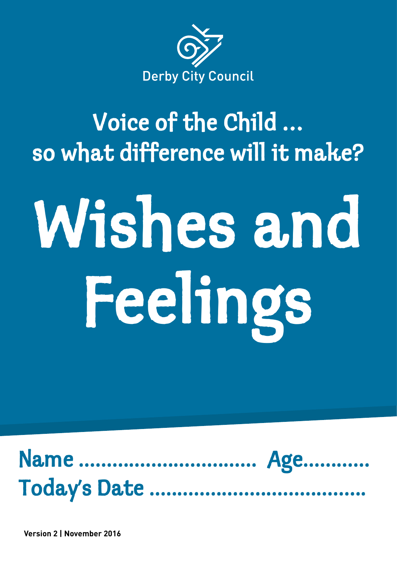

## Voice of the Child … so what difference will it make?

# Wishes and Feelings



**Version 2 | November 2016**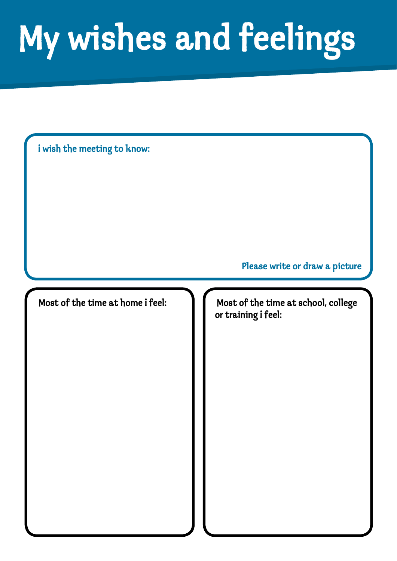# My wishes and feelings

i wish the meeting to know:

Please write or draw a picture

Most of the time at home i feel: **If all in** Most of the time at school, college or training i feel: